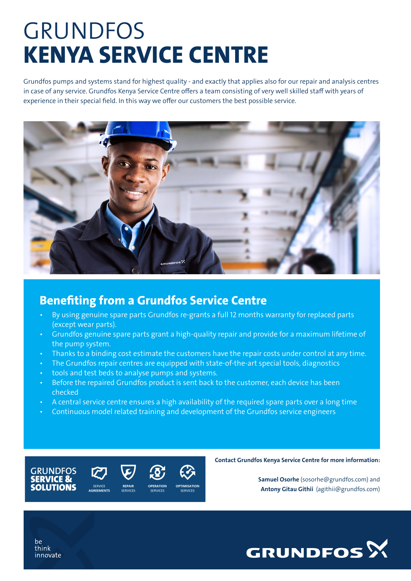# GRUNDFOS KENYA SERVICE CENTRE

Grundfos pumps and systems stand for highest quality - and exactly that applies also for our repair and analysis centres in case of any service. Grundfos Kenya Service Centre offers a team consisting of very well skilled staff with years of experience in their special field. In this way we offer our customers the best possible service.



### Benefiting from a Grundfos Service Centre

- By using genuine spare parts Grundfos re-grants a full 12 months warranty for replaced parts (except wear parts).
- Grundfos genuine spare parts grant a high-quality repair and provide for a maximum lifetime of the pump system.
- Thanks to a binding cost estimate the customers have the repair costs under control at any time.
- The Grundfos repair centres are equipped with state-of-the-art special tools, diagnostics
- tools and test beds to analyse pumps and systems.
- Before the repaired Grundfos product is sent back to the customer, each device has been checked
- A central service centre ensures a high availability of the required spare parts over a long time
- Continuous model related training and development of the Grundfos service engineers







Contact Grundfos Kenya Service Centre for more information:

Samuel Osorhe (sosorhe@grundfos.com) and Antony Gitau Githii (agithii@grundfos.com)



be think innovate